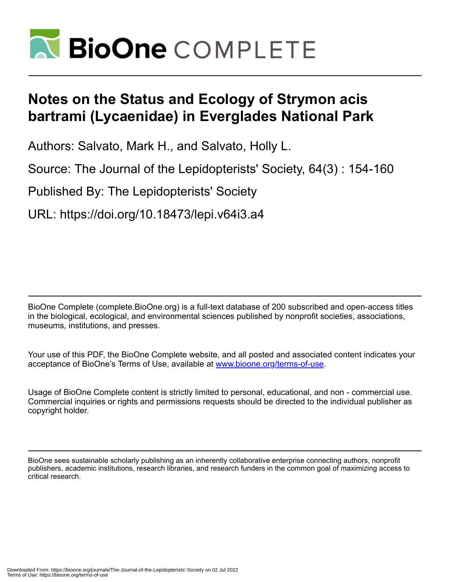

# **Notes on the Status and Ecology of Strymon acis bartrami (Lycaenidae) in Everglades National Park**

Authors: Salvato, Mark H., and Salvato, Holly L.

Source: The Journal of the Lepidopterists' Society, 64(3) : 154-160

Published By: The Lepidopterists' Society

URL: https://doi.org/10.18473/lepi.v64i3.a4

BioOne Complete (complete.BioOne.org) is a full-text database of 200 subscribed and open-access titles in the biological, ecological, and environmental sciences published by nonprofit societies, associations, museums, institutions, and presses.

Your use of this PDF, the BioOne Complete website, and all posted and associated content indicates your acceptance of BioOne's Terms of Use, available at www.bioone.org/terms-of-use.

Usage of BioOne Complete content is strictly limited to personal, educational, and non - commercial use. Commercial inquiries or rights and permissions requests should be directed to the individual publisher as copyright holder.

BioOne sees sustainable scholarly publishing as an inherently collaborative enterprise connecting authors, nonprofit publishers, academic institutions, research libraries, and research funders in the common goal of maximizing access to critical research.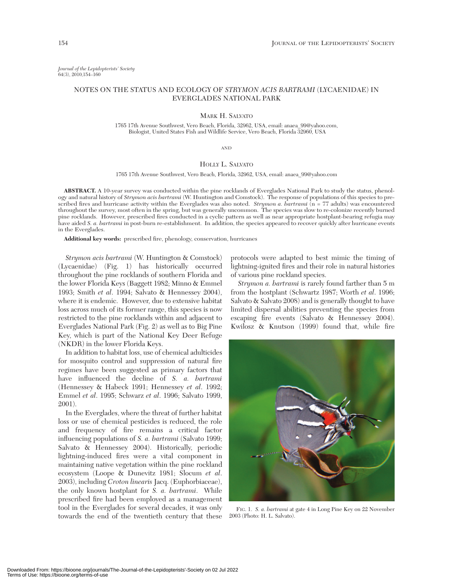*Journal of the Lepidopterists' Society* 64(3), 2010,154–160

# NOTES ON THE STATUS AND ECOLOGY OF *STRYMON ACIS BARTRAMI* (LYCAENIDAE) IN EVERGLADES NATIONAL PARK

## MARK H. SALVATO

1765 17th Avenue Southwest, Vero Beach, Florida, 32962, USA, email: anaea\_99@yahoo.com, Biologist, United States Fish and Wildlife Service, Vero Beach, Florida 32960, USA

#### AND

# HOLLY L. SALVATO

1765 17th Avenue Southwest, Vero Beach, Florida, 32962, USA, email: anaea\_99@yahoo.com

**ABSTRACT.** A 10-year survey was conducted within the pine rocklands of Everglades National Park to study the status, phenology and natural history of *Strymon acis bartrami* (W. Huntington and Comstock). The response of populations of this species to prescribed fires and hurricane activity within the Everglades was also noted. *Strymon a. bartrami* (n = 77 adults) was encountered throughout the survey, most often in the spring, but was generally uncommon. The species was slow to re-colonize recently burned pine rocklands. However, prescribed fires conducted in a cyclic pattern as well as near appropriate hostplant-bearing refugia may have aided *S. a. bartrami* in post-burn re-establishment. In addition, the species appeared to recover quickly after hurricane events in the Everglades.

**Additional key words:** prescribed fire, phenology, conservation, hurricanes

*Strymon acis bartrami* (W. Huntington & Comstock) (Lycaenidae) (Fig. 1) has historically occurred throughout the pine rocklands of southern Florida and the lower Florida Keys (Baggett 1982; Minno & Emmel 1993; Smith *et al*. 1994; Salvato & Hennessey 2004), where it is endemic. However, due to extensive habitat loss across much of its former range, this species is now restricted to the pine rocklands within and adjacent to Everglades National Park (Fig. 2) as well as to Big Pine Key, which is part of the National Key Deer Refuge (NKDR) in the lower Florida Keys.

In addition to habitat loss, use of chemical adulticides for mosquito control and suppression of natural fire regimes have been suggested as primary factors that have influenced the decline of *S. a. bartrami* (Hennessey & Habeck 1991; Hennessey *et al*. 1992; Emmel *et al*. 1995; Schwarz *et al*. 1996; Salvato 1999, 2001).

In the Everglades, where the threat of further habitat loss or use of chemical pesticides is reduced, the role and frequency of fire remains a critical factor influencing populations of *S. a. bartrami* (Salvato 1999; Salvato & Hennessey 2004). Historically, periodic lightning-induced fires were a vital component in maintaining native vegetation within the pine rockland ecosystem (Loope & Dunevitz 1981; Slocum *et al*. 2003), including *Croton linearis* Jacq. (Euphorbiaceae), the only known hostplant for *S. a. bartrami*. While prescribed fire had been employed as a management tool in the Everglades for several decades, it was only towards the end of the twentieth century that these

protocols were adapted to best mimic the timing of lightning-ignited fires and their role in natural histories of various pine rockland species.

*Strymon a. bartrami* is rarely found farther than 5 m from the hostplant (Schwartz 1987; Worth *et al*. 1996; Salvato & Salvato 2008) and is generally thought to have limited dispersal abilities preventing the species from escaping fire events (Salvato & Hennessey 2004). Kwilosz & Knutson (1999) found that, while fire



FIG. 1. *S. a. bartrami* at gate 4 in Long Pine Key on 22 November 2003 (Photo: H. L. Salvato).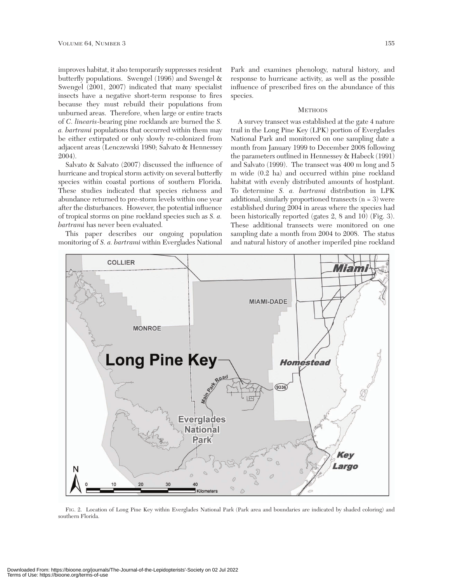improves habitat, it also temporarily suppresses resident butterfly populations. Swengel (1996) and Swengel & Swengel (2001, 2007) indicated that many specialist insects have a negative short-term response to fires because they must rebuild their populations from unburned areas. Therefore, when large or entire tracts of *C. linearis*-bearing pine rocklands are burned the *S. a. bartrami* populations that occurred within them may be either extirpated or only slowly re-colonized from adjacent areas (Lenczewski 1980; Salvato & Hennessey 2004).

Salvato & Salvato (2007) discussed the influence of hurricane and tropical storm activity on several butterfly species within coastal portions of southern Florida. These studies indicated that species richness and abundance returned to pre-storm levels within one year after the disturbances. However, the potential influence of tropical storms on pine rockland species such as *S. a. bartrami* has never been evaluated.

This paper describes our ongoing population monitoring of *S. a. bartrami* within Everglades National

Park and examines phenology, natural history, and response to hurricane activity, as well as the possible influence of prescribed fires on the abundance of this species.

## **METHODS**

A survey transect was established at the gate 4 nature trail in the Long Pine Key (LPK) portion of Everglades National Park and monitored on one sampling date a month from January 1999 to December 2008 following the parameters outlined in Hennessey & Habeck (1991) and Salvato (1999). The transect was 400 m long and 5 m wide (0.2 ha) and occurred within pine rockland habitat with evenly distributed amounts of hostplant. To determine *S. a. bartrami* distribution in LPK additional, similarly proportioned transects  $(n = 3)$  were established during 2004 in areas where the species had been historically reported (gates 2, 8 and 10) (Fig. 3). These additional transects were monitored on one sampling date a month from 2004 to 2008. The status and natural history of another imperiled pine rockland



FIG. 2. Location of Long Pine Key within Everglades National Park (Park area and boundaries are indicated by shaded coloring) and southern Florida.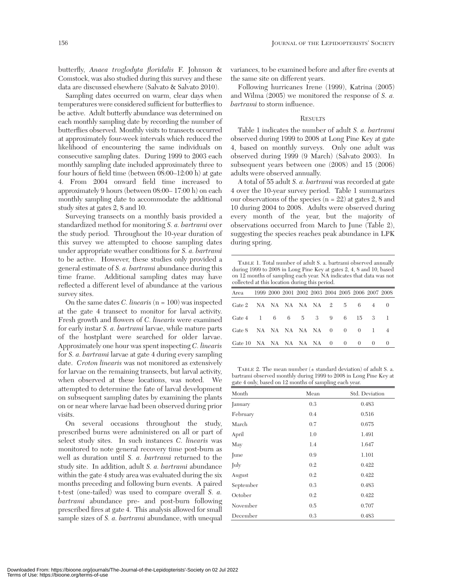butterfly, *Anaea troglodyta floridalis* F. Johnson & Comstock, was also studied during this survey and these data are discussed elsewhere (Salvato & Salvato 2010).

Sampling dates occurred on warm, clear days when temperatures were considered sufficient for butterflies to be active. Adult butterfly abundance was determined on each monthly sampling date by recording the number of butterflies observed. Monthly visits to transects occurred at approximately four-week intervals which reduced the likelihood of encountering the same individuals on consecutive sampling dates. During 1999 to 2003 each monthly sampling date included approximately three to four hours of field time (between 08:00–12:00 h) at gate 4. From 2004 onward field time increased to approximately 9 hours (between 08:00– 17:00 h) on each monthly sampling date to accommodate the additional study sites at gates 2, 8 and 10.

Surveying transects on a monthly basis provided a standardized method for monitoring *S. a. bartrami* over the study period. Throughout the 10-year duration of this survey we attempted to choose sampling dates under appropriate weather conditions for *S. a. bartrami* to be active. However, these studies only provided a general estimate of *S. a. bartrami* abundance during this time frame. Additional sampling dates may have reflected a different level of abundance at the various survey sites.

On the same dates *C. linearis* (n = 100) was inspected at the gate 4 transect to monitor for larval activity. Fresh growth and flowers of *C. linearis* were examined for early instar *S. a. bartrami* larvae, while mature parts of the hostplant were searched for older larvae. Approximately one hour was spent inspecting *C. linearis* for *S. a. bartrami* larvae at gate 4 during every sampling date. *Croton linearis* was not monitored as extensively for larvae on the remaining transects, but larval activity, when observed at these locations, was noted. We attempted to determine the fate of larval development on subsequent sampling dates by examining the plants on or near where larvae had been observed during prior visits.

On several occasions throughout the study, prescribed burns were administered on all or part of select study sites. In such instances *C. linearis* was monitored to note general recovery time post-burn as well as duration until *S. a. bartrami* returned to the study site. In addition, adult *S. a. bartrami* abundance within the gate 4 study area was evaluated during the six months preceding and following burn events. A paired t-test (one-tailed) was used to compare overall *S. a. bartrami* abundance pre- and post-burn following prescribed fires at gate 4. This analysis allowed for small sample sizes of *S. a. bartrami* abundance, with unequal

variances, to be examined before and after fire events at the same site on different years.

Following hurricanes Irene (1999), Katrina (2005) and Wilma (2005) we monitored the response of *S. a. bartrami* to storm influence.

# **RESULTS**

Table 1 indicates the number of adult *S. a. bartrami* observed during 1999 to 2008 at Long Pine Key at gate 4, based on monthly surveys. Only one adult was observed during 1999 (9 March) (Salvato 2003). In subsequent years between one (2008) and 15 (2006) adults were observed annually.

A total of 55 adult *S. a. bartrami* was recorded at gate 4 over the 10-year survey period. Table 1 summarizes our observations of the species  $(n = 22)$  at gates 2, 8 and 10 during 2004 to 2008. Adults were observed during every month of the year, but the majority of observations occurred from March to June (Table 2), suggesting the species reaches peak abundance in LPK during spring.

TABLE 1. Total number of adult S. a. bartrami observed annually during 1999 to 2008 in Long Pine Key at gates 2, 4, 8 and 10, based on 12 months of sampling each year. NA indicates that data was not collected at this location during this period.

| Area 1999 2000 2001 2002 2003 2004 2005 2006 2007 2008 |  |  |  |  |  |
|--------------------------------------------------------|--|--|--|--|--|
| Gate 2 NA NA NA NA NA $2$ 5 6 4 0                      |  |  |  |  |  |
| Gate 4 1 6 6 5 3 9 6 15 3 1                            |  |  |  |  |  |
| Gate 8 NA NA NA NA NA 0 0 0 1 4                        |  |  |  |  |  |
| Gate 10 NA NA NA NA NA 0 0 0 0                         |  |  |  |  |  |

TABLE 2. The mean number  $(\pm$  standard deviation) of adult S. a. bartrami observed monthly during 1999 to 2008 in Long Pine Key at gate 4 only, based on 12 months of sampling each year.

| Month     | Mean | Std. Deviation |
|-----------|------|----------------|
| January   | 0.3  | 0.483          |
| February  | 0.4  | 0.516          |
| March     | 0.7  | 0.675          |
| April     | 1.0  | 1.491          |
| May       | 1.4  | 1.647          |
| June      | 0.9  | 1.101          |
| July      | 0.2  | 0.422          |
| August    | 0.2  | 0.422          |
| September | 0.3  | 0.483          |
| October   | 0.2  | 0.422          |
| November  | 0.5  | 0.707          |
| December  | 0.3  | 0.483          |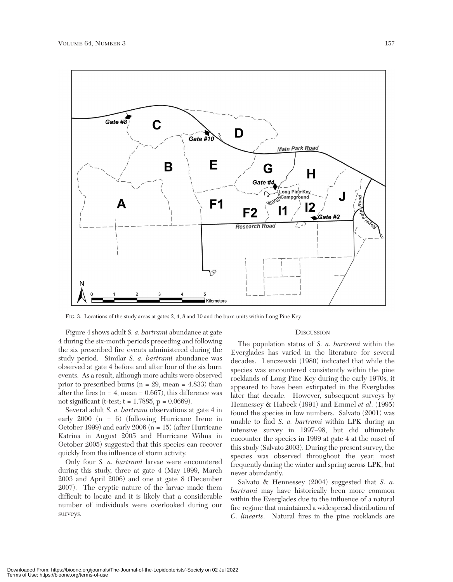

FIG. 3. Locations of the study areas at gates 2, 4, 8 and 10 and the burn units within Long Pine Key.

Figure 4 shows adult *S. a. bartrami* abundance at gate 4 during the six-month periods preceding and following the six prescribed fire events administered during the study period. Similar *S. a. bartrami* abundance was observed at gate 4 before and after four of the six burn events. As a result, although more adults were observed prior to prescribed burns ( $n = 29$ , mean = 4.833) than after the fires  $(n = 4, mean = 0.667)$ , this difference was not significant (t-test;  $t = 1.7885$ ,  $p = 0.0669$ ).

Several adult *S. a. bartrami* observations at gate 4 in early 2000 (n = 6) (following Hurricane Irene in October 1999) and early 2006 ( $n = 15$ ) (after Hurricane Katrina in August 2005 and Hurricane Wilma in October 2005) suggested that this species can recover quickly from the influence of storm activity.

Only four *S. a. bartrami* larvae were encountered during this study, three at gate 4 (May 1999, March 2003 and April 2006) and one at gate 8 (December 2007). The cryptic nature of the larvae made them difficult to locate and it is likely that a considerable number of individuals were overlooked during our surveys.

### **DISCUSSION**

The population status of *S. a. bartrami* within the Everglades has varied in the literature for several decades. Lenczewski (1980) indicated that while the species was encountered consistently within the pine rocklands of Long Pine Key during the early 1970s, it appeared to have been extirpated in the Everglades later that decade. However, subsequent surveys by Hennessey & Habeck (1991) and Emmel *et al*. (1995) found the species in low numbers. Salvato (2001) was unable to find *S. a. bartrami* within LPK during an intensive survey in 1997*–*98, but did ultimately encounter the species in 1999 at gate 4 at the onset of this study (Salvato 2003). During the present survey, the species was observed throughout the year, most frequently during the winter and spring across LPK, but never abundantly.

Salvato & Hennessey (2004) suggested that *S. a. bartrami* may have historically been more common within the Everglades due to the influence of a natural fire regime that maintained a widespread distribution of *C. linearis*. Natural fires in the pine rocklands are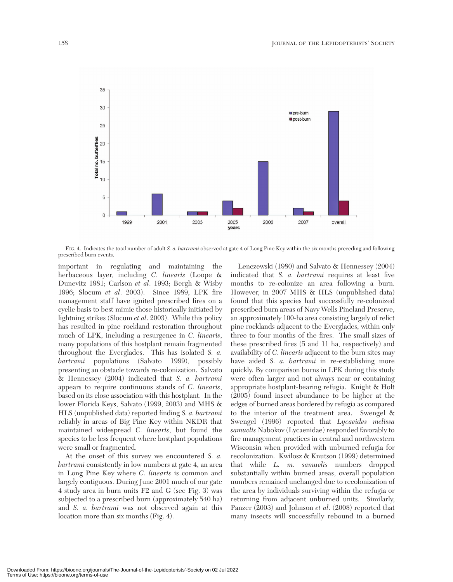

FIG. 4. Indicates the total number of adult *S. a. bartrami* observed at gate 4 of Long Pine Key within the six months preceding and following prescribed burn events.

important in regulating and maintaining the herbaceous layer, including *C. linearis* (Loope & Dunevitz 1981; Carlson *et al*. 1993; Bergh & Wisby 1996; Slocum *et al*. 2003). Since 1989, LPK fire management staff have ignited prescribed fires on a cyclic basis to best mimic those historically initiated by lightning strikes (Slocum *et al*. 2003). While this policy has resulted in pine rockland restoration throughout much of LPK, including a resurgence in *C. linearis*, many populations of this hostplant remain fragmented throughout the Everglades. This has isolated *S. a. bartrami* populations (Salvato 1999), possibly presenting an obstacle towards re-colonization. Salvato & Hennessey (2004) indicated that *S. a. bartrami* appears to require continuous stands of *C. linearis*, based on its close association with this hostplant. In the lower Florida Keys, Salvato (1999, 2003) and MHS & HLS (unpublished data) reported finding *S. a. bartrami* reliably in areas of Big Pine Key within NKDR that maintained widespread *C. linearis*, but found the species to be less frequent where hostplant populations were small or fragmented.

At the onset of this survey we encountered *S. a. bartrami* consistently in low numbers at gate 4, an area in Long Pine Key where *C. linearis* is common and largely contiguous. During June 2001 much of our gate 4 study area in burn units F2 and G (see Fig. 3) was subjected to a prescribed burn (approximately 540 ha) and *S. a. bartrami* was not observed again at this location more than six months (Fig. 4).

Lenczewski (1980) and Salvato & Hennessey (2004) indicated that *S. a. bartrami* requires at least five months to re-colonize an area following a burn. However, in 2007 MHS & HLS (unpublished data) found that this species had successfully re-colonized prescribed burn areas of Navy Wells Pineland Preserve, an approximately 100-ha area consisting largely of relict pine rocklands adjacent to the Everglades, within only three to four months of the fires. The small sizes of these prescribed fires (5 and 11 ha, respectively) and availability of *C. linearis* adjacent to the burn sites may have aided *S. a. bartrami* in re-establishing more quickly. By comparison burns in LPK during this study were often larger and not always near or containing appropriate hostplant-bearing refugia. Knight & Holt (2005) found insect abundance to be higher at the edges of burned areas bordered by refugia as compared to the interior of the treatment area. Swengel & Swengel (1996) reported that *Lycaeides melissa samuelis* Nabokov (Lycaenidae) responded favorably to fire management practices in central and northwestern Wisconsin when provided with unburned refugia for recolonization. Kwilosz & Knutson (1999) determined that while *L. m. samuelis* numbers dropped substantially within burned areas, overall population numbers remained unchanged due to recolonization of the area by individuals surviving within the refugia or returning from adjacent unburned units. Similarly, Panzer (2003) and Johnson *et al*. (2008) reported that many insects will successfully rebound in a burned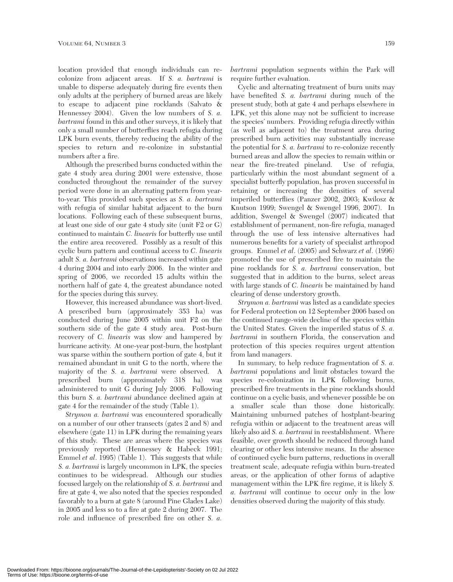location provided that enough individuals can recolonize from adjacent areas. If *S. a. bartrami* is unable to disperse adequately during fire events then only adults at the periphery of burned areas are likely to escape to adjacent pine rocklands (Salvato & Hennessey 2004). Given the low numbers of *S. a. bartrami* found in this and other surveys, it is likely that only a small number of butterflies reach refugia during LPK burn events, thereby reducing the ability of the species to return and re-colonize in substantial numbers after a fire.

Although the prescribed burns conducted within the gate 4 study area during 2001 were extensive, those conducted throughout the remainder of the survey period were done in an alternating pattern from yearto-year. This provided such species as *S. a. bartrami* with refugia of similar habitat adjacent to the burn locations. Following each of these subsequent burns, at least one side of our gate 4 study site (unit F2 or G) continued to maintain *C. linearis* for butterfly use until the entire area recovered. Possibly as a result of this cyclic burn pattern and continual access to *C. linearis* adult *S. a. bartrami* observations increased within gate 4 during 2004 and into early 2006. In the winter and spring of 2006, we recorded 15 adults within the northern half of gate 4, the greatest abundance noted for the species during this survey.

However, this increased abundance was short-lived. A prescribed burn (approximately 353 ha) was conducted during June 2005 within unit F2 on the southern side of the gate 4 study area. Post-burn recovery of *C. linearis* was slow and hampered by hurricane activity. At one-year post-burn, the hostplant was sparse within the southern portion of gate 4, but it remained abundant in unit G to the north, where the majority of the *S. a. bartrami* were observed. A prescribed burn (approximately 318 ha) was administered to unit G during July 2006. Following this burn *S. a. bartrami* abundance declined again at gate 4 for the remainder of the study (Table 1).

*Strymon a. bartrami* was encountered sporadically on a number of our other transects (gates 2 and 8) and elsewhere (gate 11) in LPK during the remaining years of this study. These are areas where the species was previously reported (Hennessey & Habeck 1991; Emmel *et al*. 1995) (Table 1). This suggests that while *S. a. bartrami* is largely uncommon in LPK, the species continues to be widespread. Although our studies focused largely on the relationship of *S. a. bartrami* and fire at gate 4, we also noted that the species responded favorably to a burn at gate 8 (around Pine Glades Lake) in 2005 and less so to a fire at gate 2 during 2007. The role and influence of prescribed fire on other *S. a.*

*bartrami* population segments within the Park will require further evaluation.

Cyclic and alternating treatment of burn units may have benefited *S. a. bartrami* during much of the present study, both at gate 4 and perhaps elsewhere in LPK, yet this alone may not be sufficient to increase the species' numbers. Providing refugia directly within (as well as adjacent to) the treatment area during prescribed burn activities may substantially increase the potential for *S. a. bartrami* to re-colonize recently burned areas and allow the species to remain within or near the fire-treated pineland. Use of refugia, particularly within the most abundant segment of a specialist butterfly population, has proven successful in retaining or increasing the densities of several imperiled butterflies (Panzer 2002, 2003; Kwilosz & Knutson 1999; Swengel & Swengel 1996, 2007). In addition, Swengel & Swengel (2007) indicated that establishment of permanent, non-fire refugia, managed through the use of less intensive alternatives had numerous benefits for a variety of specialist arthropod groups. Emmel *et al*. (2005) and Schwarz *et al*. (1996) promoted the use of prescribed fire to maintain the pine rocklands for *S. a. bartrami* conservation, but suggested that in addition to the burns, select areas with large stands of *C. linearis* be maintained by hand clearing of dense understory growth.

*Strymon a. bartrami* was listed as a candidate species for Federal protection on 12 September 2006 based on the continued range-wide decline of the species within the United States. Given the imperiled status of *S. a. bartrami* in southern Florida, the conservation and protection of this species requires urgent attention from land managers.

In summary, to help reduce fragmentation of *S. a. bartrami* populations and limit obstacles toward the species re-colonization in LPK following burns, prescribed fire treatments in the pine rocklands should continue on a cyclic basis, and whenever possible be on a smaller scale than those done historically. Maintaining unburned patches of hostplant-bearing refugia within or adjacent to the treatment areas will likely also aid *S. a. bartrami* in reestablishment. Where feasible, over growth should be reduced through hand clearing or other less intensive means. In the absence of continued cyclic burn patterns, reductions in overall treatment scale, adequate refugia within burn-treated areas, or the application of other forms of adaptive management within the LPK fire regime, it is likely *S. a. bartrami* will continue to occur only in the low densities observed during the majority of this study.